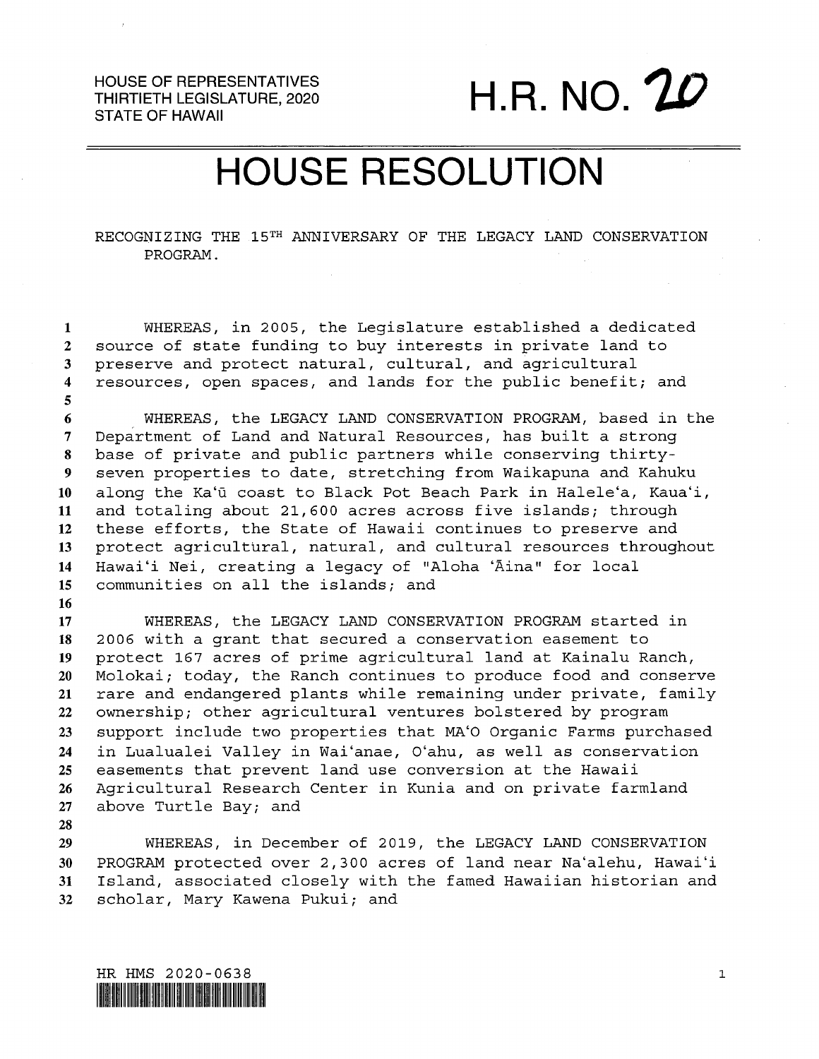HOUSE OF REPRESENTATIVES THIRTIETH LEGISLATURE, 2020 STATE OF HAWAII

H.R. NO.

## HOUSE RESOLUTION

RECOGNIZING THE 15TH ANNIVERSARY OF THE LEGACY LAND CONSERVATION PROGRAM.

 WHEREAS, in 2005, the Legislature established <sup>a</sup> dedicated source of state funding to buy interests in private land to preserve and protect natural, cultural, and agricultural resources, open spaces, and lands for the public benefit; and

6 WHEREAS, the LEGACY LAND CONSERVATION PROGRAM, based in the Department of Land and Natural Resources, has built <sup>a</sup> strong base of private and public partners while conserving thirty- seven properties to date, stretching from Waikapuna and Kahuku 10 along the Ka'ū coast to Black Pot Beach Park in Halele'a, Kaua'i, and totaling about 21,600 acres across five islands; through these efforts, the State of Hawaii continues to preserve and protect agricultural, natural, and cultural resources throughout 14 Hawai'i Nei, creating a legacy of "Aloha 'Āina" for local communities on all the islands; and

 WHEREAS, the LEGACY LAND CONSERVATION PROGRAN started in 2006 with <sup>a</sup> grant that secured <sup>a</sup> conservation easement to protect <sup>167</sup> acres of prime agricultural land at Kainalu Ranch, Molokai; today, the Ranch continues to produce food and conserve rare and endangered plants while remaining under private, family ownership; other agricultural ventures bolstered by program support include two properties that MA'O Organic Farms purchased in Lualualei Valley in Wai'anae, O'ahu, as well as conservation easements that prevent land use conversion at the Hawaii Agricultural Research Center in Kunia and on private farmland above Turtle Bay; and

 WHEREAS, in December of 2019, the LEGACY LAND CONSERVATION PROGRAM protected over 2,300 acres of land near Na'alehu, Hawai'i Island, associated closely with the famed Hawaiian historian and scholar, Mary Kawena Pukui; and